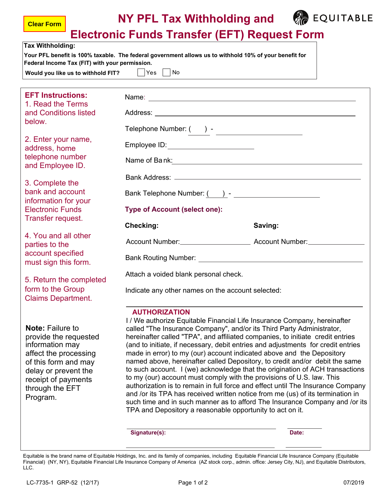|  | <b>NY PFL Tax Withholding and</b> |
|--|-----------------------------------|
|--|-----------------------------------|



**Electronic Funds Transfer (EFT) Request Form**

|                                                                                                                                                                                                    |                                                                                                                                                                                                                                                                                                                                                                                                                                                                                                                                                                                                                                                                                                                                                                                                                                                                                                                                                                                   | LIGUUDIIU I UIIUS TIAIISIGI (LI T) NGQUGSLI UIIII |  |  |  |
|----------------------------------------------------------------------------------------------------------------------------------------------------------------------------------------------------|-----------------------------------------------------------------------------------------------------------------------------------------------------------------------------------------------------------------------------------------------------------------------------------------------------------------------------------------------------------------------------------------------------------------------------------------------------------------------------------------------------------------------------------------------------------------------------------------------------------------------------------------------------------------------------------------------------------------------------------------------------------------------------------------------------------------------------------------------------------------------------------------------------------------------------------------------------------------------------------|---------------------------------------------------|--|--|--|
| <b>Tax Withholding:</b><br>Federal Income Tax (FIT) with your permission.<br>Would you like us to withhold FIT? $ $ $ $ Yes $ $ $ $ No                                                             | Your PFL benefit is 100% taxable. The federal government allows us to withhold 10% of your benefit for                                                                                                                                                                                                                                                                                                                                                                                                                                                                                                                                                                                                                                                                                                                                                                                                                                                                            |                                                   |  |  |  |
|                                                                                                                                                                                                    |                                                                                                                                                                                                                                                                                                                                                                                                                                                                                                                                                                                                                                                                                                                                                                                                                                                                                                                                                                                   |                                                   |  |  |  |
| <b>EFT Instructions:</b><br>1. Read the Terms<br>and Conditions listed                                                                                                                             |                                                                                                                                                                                                                                                                                                                                                                                                                                                                                                                                                                                                                                                                                                                                                                                                                                                                                                                                                                                   |                                                   |  |  |  |
| below.                                                                                                                                                                                             | Telephone Number: ( ) - ______________________                                                                                                                                                                                                                                                                                                                                                                                                                                                                                                                                                                                                                                                                                                                                                                                                                                                                                                                                    |                                                   |  |  |  |
| 2. Enter your name,<br>address, home<br>telephone number                                                                                                                                           | Employee ID: _________________________                                                                                                                                                                                                                                                                                                                                                                                                                                                                                                                                                                                                                                                                                                                                                                                                                                                                                                                                            |                                                   |  |  |  |
| and Employee ID.                                                                                                                                                                                   | Name of Bank: 2008 and 2008 and 2010 and 2010 and 2010 and 2010 and 2010 and 2010 and 2010 and 2010 and 2010 and 201                                                                                                                                                                                                                                                                                                                                                                                                                                                                                                                                                                                                                                                                                                                                                                                                                                                              |                                                   |  |  |  |
| 3. Complete the<br>bank and account<br>information for your                                                                                                                                        |                                                                                                                                                                                                                                                                                                                                                                                                                                                                                                                                                                                                                                                                                                                                                                                                                                                                                                                                                                                   |                                                   |  |  |  |
| <b>Electronic Funds</b><br>Transfer request.                                                                                                                                                       | <b>Type of Account (select one):</b><br><b>Checking:</b><br>Saving:                                                                                                                                                                                                                                                                                                                                                                                                                                                                                                                                                                                                                                                                                                                                                                                                                                                                                                               |                                                   |  |  |  |
| 4. You and all other<br>parties to the<br>account specified                                                                                                                                        |                                                                                                                                                                                                                                                                                                                                                                                                                                                                                                                                                                                                                                                                                                                                                                                                                                                                                                                                                                                   | Account Number: Account Number:                   |  |  |  |
| must sign this form.                                                                                                                                                                               |                                                                                                                                                                                                                                                                                                                                                                                                                                                                                                                                                                                                                                                                                                                                                                                                                                                                                                                                                                                   |                                                   |  |  |  |
| 5. Return the completed<br>form to the Group<br><b>Claims Department.</b>                                                                                                                          | Attach a voided blank personal check.<br>Indicate any other names on the account selected:                                                                                                                                                                                                                                                                                                                                                                                                                                                                                                                                                                                                                                                                                                                                                                                                                                                                                        |                                                   |  |  |  |
| <b>Note: Failure to</b><br>provide the requested<br>information may<br>affect the processing<br>of this form and may<br>delay or prevent the<br>receipt of payments<br>through the EFT<br>Program. | <b>AUTHORIZATION</b><br>I / We authorize Equitable Financial Life Insurance Company, hereinafter<br>called "The Insurance Company", and/or its Third Party Administrator,<br>hereinafter called "TPA", and affiliated companies, to initiate credit entries<br>(and to initiate, if necessary, debit entries and adjustments for credit entries<br>made in error) to my (our) account indicated above and the Depository<br>named above, hereinafter called Depository, to credit and/or debit the same<br>to such account. I (we) acknowledge that the origination of ACH transactions<br>to my (our) account must comply with the provisions of U.S. law. This<br>authorization is to remain in full force and effect until The Insurance Company<br>and /or its TPA has received written notice from me (us) of its termination in<br>such time and in such manner as to afford The Insurance Company and /or its<br>TPA and Depository a reasonable opportunity to act on it. |                                                   |  |  |  |

 **Signature(s): Date:** 

**Clear Form**

Equitable is the brand name of Equitable Holdings, Inc. and its family of companies, including Equitable Financial Life Insurance Company (Equitable Financial) (NY, NY), Equitable Financial Life Insurance Company of America (AZ stock corp., admin. office: Jersey City, NJ), and Equitable Distributors, LLC.